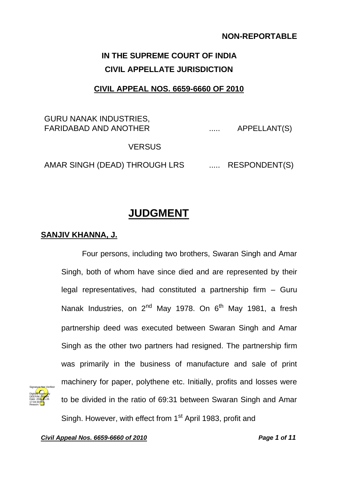### **NON-REPORTABLE**

# **IN THE SUPREME COURT OF INDIA CIVIL APPELLATE JURISDICTION**

## **CIVIL APPEAL NOS. 6659-6660 OF 2010**

## GURU NANAK INDUSTRIES, FARIDABAD AND ANOTHER ..... APPELLANT(S)

### VERSUS

AMAR SINGH (DEAD) THROUGH LRS ...... RESPONDENT(S)

## **JUDGMENT**

#### **SANJIV KHANNA, J.**

Four persons, including two brothers, Swaran Singh and Amar Singh, both of whom have since died and are represented by their legal representatives, had constituted a partnership firm – Guru Nanak Industries, on  $2^{nd}$  May 1978. On  $6^{th}$  May 1981, a fresh partnership deed was executed between Swaran Singh and Amar Singh as the other two partners had resigned. The partnership firm was primarily in the business of manufacture and sale of print machinery for paper, polythene etc. Initially, profits and losses were to be divided in the ratio of 69:31 between Swaran Singh and Amar Singh. However, with effect from 1<sup>st</sup> April 1983, profit and

*Civil Appeal Nos. 6659-6660 of 2010 Page 1 of 11*

Signature Not Verified Digitally signed by DEEPAK <mark>SIN</mark>GH Date: 2020.05.26 17:04:30 **IST** Reason: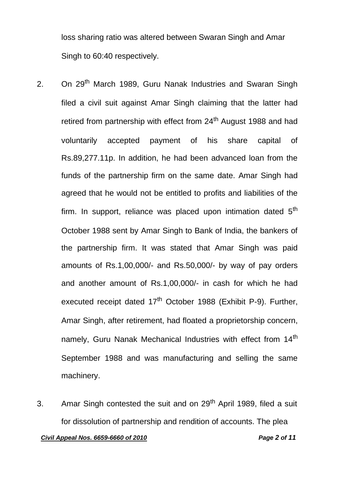loss sharing ratio was altered between Swaran Singh and Amar Singh to 60:40 respectively.

- 2. On 29<sup>th</sup> March 1989, Guru Nanak Industries and Swaran Singh filed a civil suit against Amar Singh claiming that the latter had retired from partnership with effect from 24<sup>th</sup> August 1988 and had voluntarily accepted payment of his share capital of Rs.89,277.11p. In addition, he had been advanced loan from the funds of the partnership firm on the same date. Amar Singh had agreed that he would not be entitled to profits and liabilities of the firm. In support, reliance was placed upon intimation dated  $5<sup>th</sup>$ October 1988 sent by Amar Singh to Bank of India, the bankers of the partnership firm. It was stated that Amar Singh was paid amounts of Rs.1,00,000/- and Rs.50,000/- by way of pay orders and another amount of Rs.1,00,000/- in cash for which he had executed receipt dated 17<sup>th</sup> October 1988 (Exhibit P-9). Further, Amar Singh, after retirement, had floated a proprietorship concern, namely, Guru Nanak Mechanical Industries with effect from 14<sup>th</sup> September 1988 and was manufacturing and selling the same machinery.
- 3. Amar Singh contested the suit and on 29<sup>th</sup> April 1989, filed a suit for dissolution of partnership and rendition of accounts. The plea *Civil Appeal Nos. 6659-6660 of 2010 Page 2 of 11*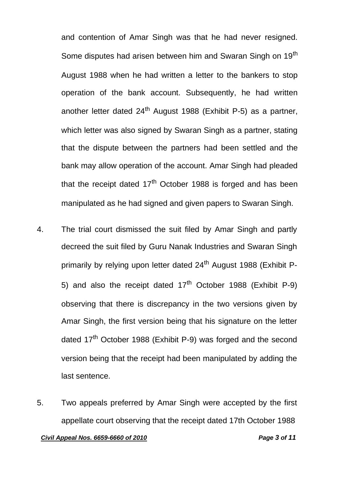and contention of Amar Singh was that he had never resigned. Some disputes had arisen between him and Swaran Singh on 19<sup>th</sup> August 1988 when he had written a letter to the bankers to stop operation of the bank account. Subsequently, he had written another letter dated  $24<sup>th</sup>$  August 1988 (Exhibit P-5) as a partner, which letter was also signed by Swaran Singh as a partner, stating that the dispute between the partners had been settled and the bank may allow operation of the account. Amar Singh had pleaded that the receipt dated  $17<sup>th</sup>$  October 1988 is forged and has been manipulated as he had signed and given papers to Swaran Singh.

- 4. The trial court dismissed the suit filed by Amar Singh and partly decreed the suit filed by Guru Nanak Industries and Swaran Singh primarily by relying upon letter dated 24<sup>th</sup> August 1988 (Exhibit P-5) and also the receipt dated  $17<sup>th</sup>$  October 1988 (Exhibit P-9) observing that there is discrepancy in the two versions given by Amar Singh, the first version being that his signature on the letter dated 17<sup>th</sup> October 1988 (Exhibit P-9) was forged and the second version being that the receipt had been manipulated by adding the last sentence.
- 5. Two appeals preferred by Amar Singh were accepted by the first appellate court observing that the receipt dated 17th October 1988 *Civil Appeal Nos. 6659-6660 of 2010 Page 3 of 11*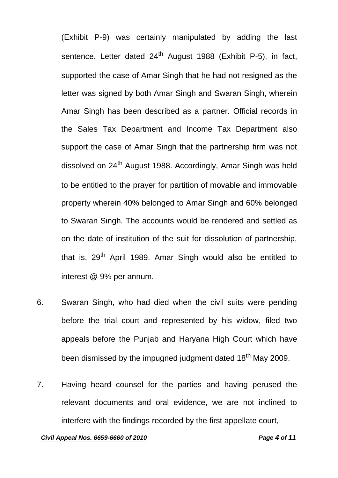(Exhibit P-9) was certainly manipulated by adding the last sentence. Letter dated 24<sup>th</sup> August 1988 (Exhibit P-5), in fact, supported the case of Amar Singh that he had not resigned as the letter was signed by both Amar Singh and Swaran Singh, wherein Amar Singh has been described as a partner. Official records in the Sales Tax Department and Income Tax Department also support the case of Amar Singh that the partnership firm was not dissolved on 24<sup>th</sup> August 1988. Accordingly, Amar Singh was held to be entitled to the prayer for partition of movable and immovable property wherein 40% belonged to Amar Singh and 60% belonged to Swaran Singh. The accounts would be rendered and settled as on the date of institution of the suit for dissolution of partnership, that is, 29<sup>th</sup> April 1989. Amar Singh would also be entitled to interest @ 9% per annum.

- 6. Swaran Singh, who had died when the civil suits were pending before the trial court and represented by his widow, filed two appeals before the Punjab and Haryana High Court which have been dismissed by the impugned judgment dated 18<sup>th</sup> May 2009.
- 7. Having heard counsel for the parties and having perused the relevant documents and oral evidence, we are not inclined to interfere with the findings recorded by the first appellate court,

#### *Civil Appeal Nos. 6659-6660 of 2010 Page 4 of 11*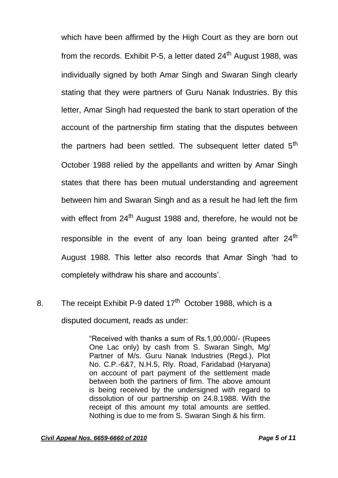which have been affirmed by the High Court as they are born out from the records. Exhibit P-5, a letter dated  $24<sup>th</sup>$  August 1988, was individually signed by both Amar Singh and Swaran Singh clearly stating that they were partners of Guru Nanak Industries. By this letter, Amar Singh had requested the bank to start operation of the account of the partnership firm stating that the disputes between the partners had been settled. The subsequent letter dated 5<sup>th</sup> October 1988 relied by the appellants and written by Amar Singh states that there has been mutual understanding and agreement between him and Swaran Singh and as a result he had left the firm with effect from  $24<sup>th</sup>$  August 1988 and, therefore, he would not be responsible in the event of any loan being granted after 24<sup>th</sup> August 1988. This letter also records that Amar Singh 'had to completely withdraw his share and accounts'.

8. The receipt Exhibit P-9 dated 17<sup>th</sup> October 1988, which is a disputed document, reads as under:

> "Received with thanks a sum of Rs.1,00,000/- (Rupees One Lac only) by cash from S. Swaran Singh, Mg/ Partner of M/s. Guru Nanak Industries (Regd.), Plot No. C.P.-6&7, N.H.5, Rly. Road, Faridabad (Haryana) on account of part payment of the settlement made between both the partners of firm. The above amount is being received by the undersigned with regard to dissolution of our partnership on 24.8.1988. With the receipt of this amount my total amounts are settled. Nothing is due to me from S. Swaran Singh & his firm.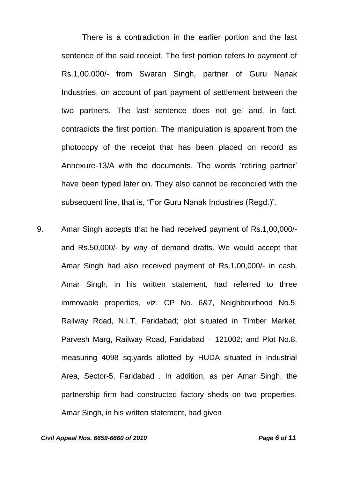There is a contradiction in the earlier portion and the last sentence of the said receipt. The first portion refers to payment of Rs.1,00,000/- from Swaran Singh, partner of Guru Nanak Industries, on account of part payment of settlement between the two partners. The last sentence does not gel and, in fact, contradicts the first portion. The manipulation is apparent from the photocopy of the receipt that has been placed on record as Annexure-13/A with the documents. The words 'retiring partner' have been typed later on. They also cannot be reconciled with the subsequent line, that is, "For Guru Nanak Industries (Regd.)".

9. Amar Singh accepts that he had received payment of Rs.1,00,000/ and Rs.50,000/- by way of demand drafts. We would accept that Amar Singh had also received payment of Rs.1,00,000/- in cash. Amar Singh, in his written statement, had referred to three immovable properties, viz. CP No. 6&7, Neighbourhood No.5, Railway Road, N.I.T, Faridabad; plot situated in Timber Market, Parvesh Marg, Railway Road, Faridabad – 121002; and Plot No.8, measuring 4098 sq.yards allotted by HUDA situated in Industrial Area, Sector-5, Faridabad . In addition, as per Amar Singh, the partnership firm had constructed factory sheds on two properties. Amar Singh, in his written statement, had given

#### *Civil Appeal Nos. 6659-6660 of 2010 Page 6 of 11*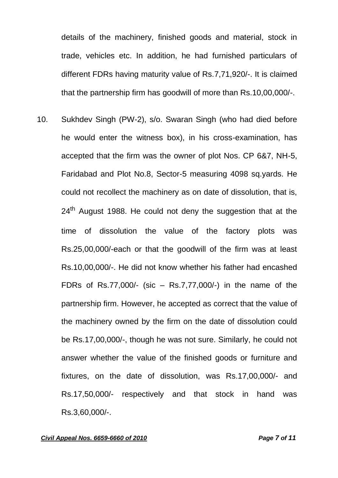details of the machinery, finished goods and material, stock in trade, vehicles etc. In addition, he had furnished particulars of different FDRs having maturity value of Rs.7,71,920/-. It is claimed that the partnership firm has goodwill of more than Rs.10,00,000/-.

10. Sukhdev Singh (PW-2), s/o. Swaran Singh (who had died before he would enter the witness box), in his cross-examination, has accepted that the firm was the owner of plot Nos. CP 6&7, NH-5, Faridabad and Plot No.8, Sector-5 measuring 4098 sq.yards. He could not recollect the machinery as on date of dissolution, that is,  $24<sup>th</sup>$  August 1988. He could not deny the suggestion that at the time of dissolution the value of the factory plots was Rs.25,00,000/-each or that the goodwill of the firm was at least Rs.10,00,000/-. He did not know whether his father had encashed FDRs of Rs.77,000/- (sic – Rs.7,77,000/-) in the name of the partnership firm. However, he accepted as correct that the value of the machinery owned by the firm on the date of dissolution could be Rs.17,00,000/-, though he was not sure. Similarly, he could not answer whether the value of the finished goods or furniture and fixtures, on the date of dissolution, was Rs.17,00,000/- and Rs.17,50,000/- respectively and that stock in hand was Rs.3,60,000/-.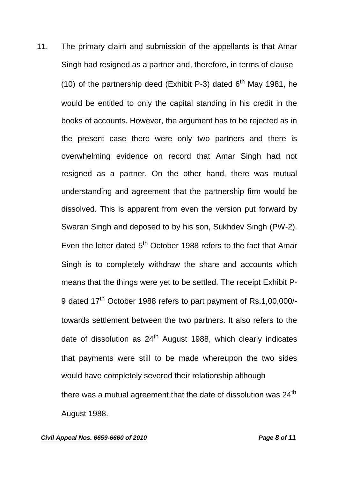11. The primary claim and submission of the appellants is that Amar Singh had resigned as a partner and, therefore, in terms of clause (10) of the partnership deed (Exhibit P-3) dated  $6<sup>th</sup>$  May 1981, he would be entitled to only the capital standing in his credit in the books of accounts. However, the argument has to be rejected as in the present case there were only two partners and there is overwhelming evidence on record that Amar Singh had not resigned as a partner. On the other hand, there was mutual understanding and agreement that the partnership firm would be dissolved. This is apparent from even the version put forward by Swaran Singh and deposed to by his son, Sukhdev Singh (PW-2). Even the letter dated 5<sup>th</sup> October 1988 refers to the fact that Amar Singh is to completely withdraw the share and accounts which means that the things were yet to be settled. The receipt Exhibit P-9 dated 17<sup>th</sup> October 1988 refers to part payment of Rs.1,00,000/towards settlement between the two partners. It also refers to the date of dissolution as  $24<sup>th</sup>$  August 1988, which clearly indicates that payments were still to be made whereupon the two sides would have completely severed their relationship although there was a mutual agreement that the date of dissolution was 24<sup>th</sup> August 1988.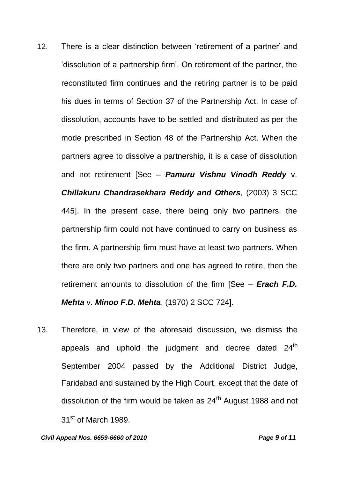- 12. There is a clear distinction between 'retirement of a partner' and 'dissolution of a partnership firm'. On retirement of the partner, the reconstituted firm continues and the retiring partner is to be paid his dues in terms of Section 37 of the Partnership Act. In case of dissolution, accounts have to be settled and distributed as per the mode prescribed in Section 48 of the Partnership Act. When the partners agree to dissolve a partnership, it is a case of dissolution and not retirement [See – *Pamuru Vishnu Vinodh Reddy* v. *Chillakuru Chandrasekhara Reddy and Others*, (2003) 3 SCC 445]. In the present case, there being only two partners, the partnership firm could not have continued to carry on business as the firm. A partnership firm must have at least two partners. When there are only two partners and one has agreed to retire, then the retirement amounts to dissolution of the firm [See – *Erach F.D. Mehta* v. *Minoo F.D. Mehta*, (1970) 2 SCC 724].
- 13. Therefore, in view of the aforesaid discussion, we dismiss the appeals and uphold the judgment and decree dated  $24<sup>th</sup>$ September 2004 passed by the Additional District Judge, Faridabad and sustained by the High Court, except that the date of dissolution of the firm would be taken as  $24<sup>th</sup>$  August 1988 and not 31<sup>st</sup> of March 1989.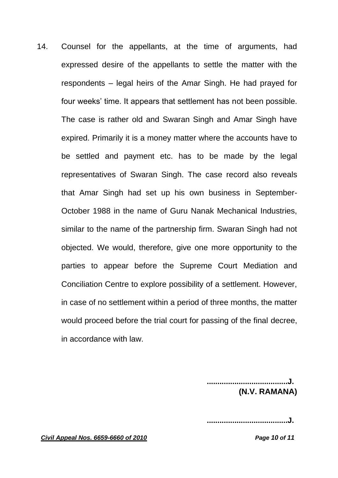14. Counsel for the appellants, at the time of arguments, had expressed desire of the appellants to settle the matter with the respondents – legal heirs of the Amar Singh. He had prayed for four weeks' time. It appears that settlement has not been possible. The case is rather old and Swaran Singh and Amar Singh have expired. Primarily it is a money matter where the accounts have to be settled and payment etc. has to be made by the legal representatives of Swaran Singh. The case record also reveals that Amar Singh had set up his own business in September-October 1988 in the name of Guru Nanak Mechanical Industries, similar to the name of the partnership firm. Swaran Singh had not objected. We would, therefore, give one more opportunity to the parties to appear before the Supreme Court Mediation and Conciliation Centre to explore possibility of a settlement. However, in case of no settlement within a period of three months, the matter would proceed before the trial court for passing of the final decree, in accordance with law.

> **......................................J. (N.V. RAMANA)**

**......................................J.**

*Civil Appeal Nos. 6659-6660 of 2010 Page 10 of 11*